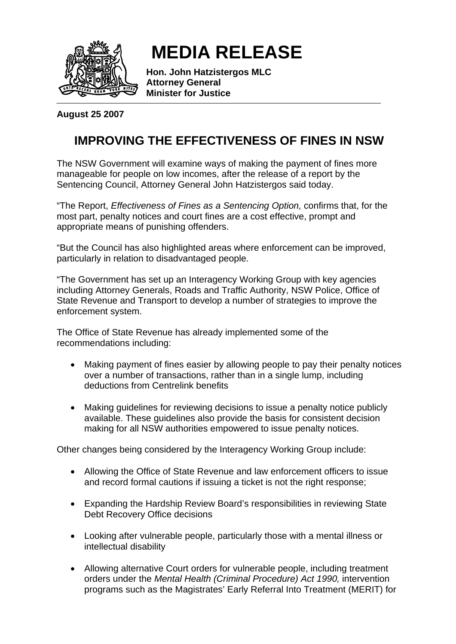

## **MEDIA RELEASE**

**Hon. John Hatzistergos MLC Attorney General Minister for Justice** 

**August 25 2007** 

## **IMPROVING THE EFFECTIVENESS OF FINES IN NSW**

The NSW Government will examine ways of making the payment of fines more manageable for people on low incomes, after the release of a report by the Sentencing Council, Attorney General John Hatzistergos said today.

"The Report, *Effectiveness of Fines as a Sentencing Option,* confirms that, for the most part, penalty notices and court fines are a cost effective, prompt and appropriate means of punishing offenders.

"But the Council has also highlighted areas where enforcement can be improved, particularly in relation to disadvantaged people.

"The Government has set up an Interagency Working Group with key agencies including Attorney Generals, Roads and Traffic Authority, NSW Police, Office of State Revenue and Transport to develop a number of strategies to improve the enforcement system.

The Office of State Revenue has already implemented some of the recommendations including:

- Making payment of fines easier by allowing people to pay their penalty notices over a number of transactions, rather than in a single lump, including deductions from Centrelink benefits
- Making guidelines for reviewing decisions to issue a penalty notice publicly available. These guidelines also provide the basis for consistent decision making for all NSW authorities empowered to issue penalty notices.

Other changes being considered by the Interagency Working Group include:

- Allowing the Office of State Revenue and law enforcement officers to issue and record formal cautions if issuing a ticket is not the right response;
- Expanding the Hardship Review Board's responsibilities in reviewing State Debt Recovery Office decisions
- Looking after vulnerable people, particularly those with a mental illness or intellectual disability
- Allowing alternative Court orders for vulnerable people, including treatment orders under the *Mental Health (Criminal Procedure) Act 1990,* intervention programs such as the Magistrates' Early Referral Into Treatment (MERIT) for